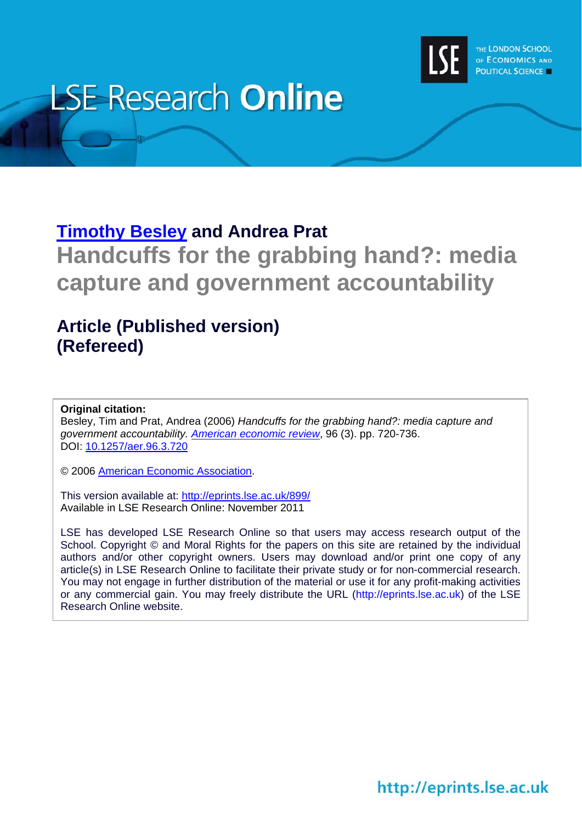

# **LSE Research Online**

## **[Timothy Besley](http://econ.lse.ac.uk/%7Etbesley/) and Andrea Prat**

**Handcuffs for the grabbing hand?: media capture and government accountability** 

## **Article (Published version) (Refereed)**

### **Original citation:**

Besley, Tim and Prat, Andrea (2006) *Handcuffs for the grabbing hand?: media capture and government accountability. [American economic review](http://www.aeaweb.org/aer/index.php)*, 96 (3). pp. 720-736. DOI: [10.1257/aer.96.3.720](http://dx.doi.org/10.1257/aer.96.3.720)

© 2006 [American Economic Association.](http://www.aeaweb.org/)

This version available at: <http://eprints.lse.ac.uk/899/> Available in LSE Research Online: November 2011

LSE has developed LSE Research Online so that users may access research output of the School. Copyright © and Moral Rights for the papers on this site are retained by the individual authors and/or other copyright owners. Users may download and/or print one copy of any article(s) in LSE Research Online to facilitate their private study or for non-commercial research. You may not engage in further distribution of the material or use it for any profit-making activities or any commercial gain. You may freely distribute the URL (http://eprints.lse.ac.uk) of the LSE Research Online website.

# http://eprints.lse.ac.uk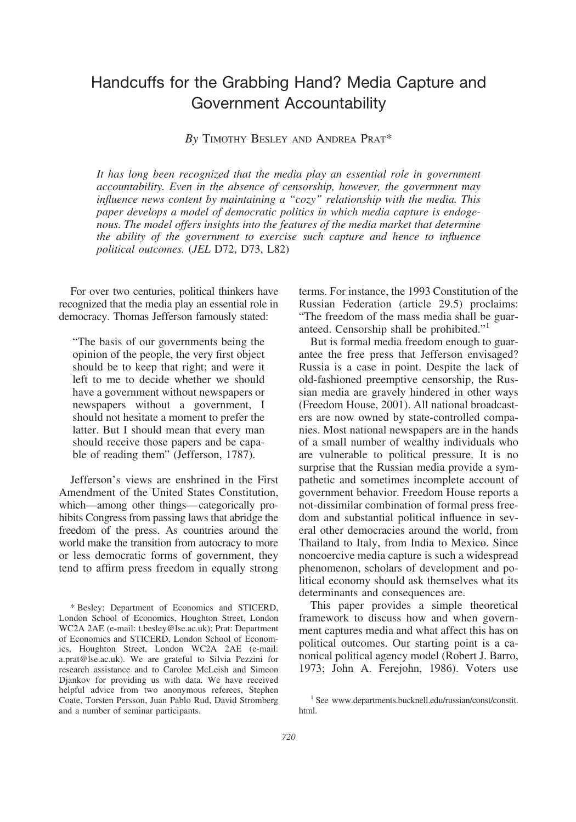## Handcuffs for the Grabbing Hand? Media Capture and Government Accountability

*By* TIMOTHY BESLEY AND ANDREA PRAT\*

*It has long been recognized that the media play an essential role in government accountability. Even in the absence of censorship, however, the government may influence news content by maintaining a "cozy" relationship with the media. This paper develops a model of democratic politics in which media capture is endogenous. The model offers insights into the features of the media market that determine the ability of the government to exercise such capture and hence to influence political outcomes.* (*JEL* D72, D73, L82)

For over two centuries, political thinkers have recognized that the media play an essential role in democracy. Thomas Jefferson famously stated:

"The basis of our governments being the opinion of the people, the very first object should be to keep that right; and were it left to me to decide whether we should have a government without newspapers or newspapers without a government, I should not hesitate a moment to prefer the latter. But I should mean that every man should receive those papers and be capable of reading them" (Jefferson, 1787).

Jefferson's views are enshrined in the First Amendment of the United States Constitution, which—among other things—categorically prohibits Congress from passing laws that abridge the freedom of the press. As countries around the world make the transition from autocracy to more or less democratic forms of government, they tend to affirm press freedom in equally strong terms. For instance, the 1993 Constitution of the Russian Federation (article 29.5) proclaims: "The freedom of the mass media shall be guaranteed. Censorship shall be prohibited."<sup>1</sup>

But is formal media freedom enough to guarantee the free press that Jefferson envisaged? Russia is a case in point. Despite the lack of old-fashioned preemptive censorship, the Russian media are gravely hindered in other ways (Freedom House, 2001). All national broadcasters are now owned by state-controlled companies. Most national newspapers are in the hands of a small number of wealthy individuals who are vulnerable to political pressure. It is no surprise that the Russian media provide a sympathetic and sometimes incomplete account of government behavior. Freedom House reports a not-dissimilar combination of formal press freedom and substantial political influence in several other democracies around the world, from Thailand to Italy, from India to Mexico. Since noncoercive media capture is such a widespread phenomenon, scholars of development and political economy should ask themselves what its determinants and consequences are.

This paper provides a simple theoretical framework to discuss how and when government captures media and what affect this has on political outcomes. Our starting point is a canonical political agency model (Robert J. Barro, 1973; John A. Ferejohn, 1986). Voters use

<sup>\*</sup> Besley: Department of Economics and STICERD, London School of Economics, Houghton Street, London WC2A 2AE (e-mail: t.besley@lse.ac.uk); Prat: Department of Economics and STICERD, London School of Economics, Houghton Street, London WC2A 2AE (e-mail: a.prat@lse.ac.uk). We are grateful to Silvia Pezzini for research assistance and to Carolee McLeish and Simeon Djankov for providing us with data. We have received helpful advice from two anonymous referees, Stephen Coate, Torsten Persson, Juan Pablo Rud, David Stromberg and a number of seminar participants.

<sup>1</sup> See www.departments.bucknell.edu/russian/const/constit. html.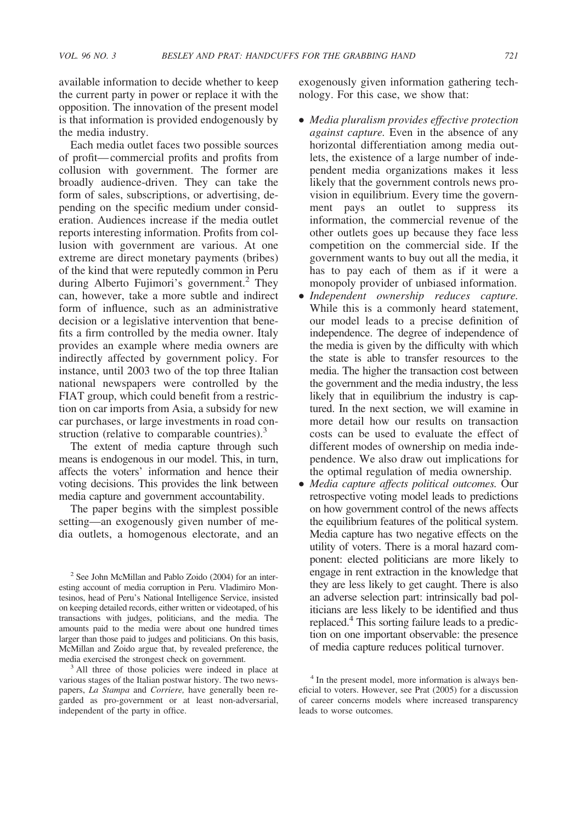available information to decide whether to keep the current party in power or replace it with the opposition. The innovation of the present model is that information is provided endogenously by the media industry.

Each media outlet faces two possible sources of profit—commercial profits and profits from collusion with government. The former are broadly audience-driven. They can take the form of sales, subscriptions, or advertising, depending on the specific medium under consideration. Audiences increase if the media outlet reports interesting information. Profits from collusion with government are various. At one extreme are direct monetary payments (bribes) of the kind that were reputedly common in Peru during Alberto Fujimori's government.<sup>2</sup> They can, however, take a more subtle and indirect form of influence, such as an administrative decision or a legislative intervention that benefits a firm controlled by the media owner. Italy provides an example where media owners are indirectly affected by government policy. For instance, until 2003 two of the top three Italian national newspapers were controlled by the FIAT group, which could benefit from a restriction on car imports from Asia, a subsidy for new car purchases, or large investments in road construction (relative to comparable countries). $3$ 

The extent of media capture through such means is endogenous in our model. This, in turn, affects the voters' information and hence their voting decisions. This provides the link between media capture and government accountability.

The paper begins with the simplest possible setting—an exogenously given number of media outlets, a homogenous electorate, and an exogenously given information gathering technology. For this case, we show that:

- *Media pluralism provides effective protection against capture.* Even in the absence of any horizontal differentiation among media outlets, the existence of a large number of independent media organizations makes it less likely that the government controls news provision in equilibrium. Every time the government pays an outlet to suppress its information, the commercial revenue of the other outlets goes up because they face less competition on the commercial side. If the government wants to buy out all the media, it has to pay each of them as if it were a monopoly provider of unbiased information.
- *Independent ownership reduces capture.* While this is a commonly heard statement, our model leads to a precise definition of independence. The degree of independence of the media is given by the difficulty with which the state is able to transfer resources to the media. The higher the transaction cost between the government and the media industry, the less likely that in equilibrium the industry is captured. In the next section, we will examine in more detail how our results on transaction costs can be used to evaluate the effect of different modes of ownership on media independence. We also draw out implications for the optimal regulation of media ownership.
- *Media capture affects political outcomes.* Our retrospective voting model leads to predictions on how government control of the news affects the equilibrium features of the political system. Media capture has two negative effects on the utility of voters. There is a moral hazard component: elected politicians are more likely to engage in rent extraction in the knowledge that they are less likely to get caught. There is also an adverse selection part: intrinsically bad politicians are less likely to be identified and thus replaced.4 This sorting failure leads to a prediction on one important observable: the presence of media capture reduces political turnover.

<sup>2</sup> See John McMillan and Pablo Zoido (2004) for an interesting account of media corruption in Peru. Vladimiro Montesinos, head of Peru's National Intelligence Service, insisted on keeping detailed records, either written or videotaped, of his transactions with judges, politicians, and the media. The amounts paid to the media were about one hundred times larger than those paid to judges and politicians. On this basis, McMillan and Zoido argue that, by revealed preference, the media exercised the strongest check on government.<br><sup>3</sup> All three of those policies were indeed in place at

various stages of the Italian postwar history. The two newspapers, *La Stampa* and *Corriere,* have generally been regarded as pro-government or at least non-adversarial, independent of the party in office.

<sup>&</sup>lt;sup>4</sup> In the present model, more information is always beneficial to voters. However, see Prat (2005) for a discussion of career concerns models where increased transparency leads to worse outcomes.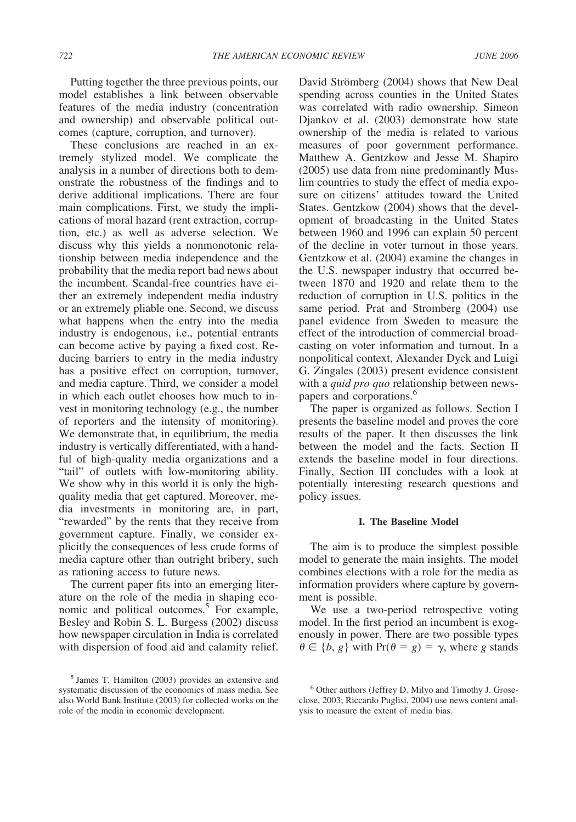Putting together the three previous points, our model establishes a link between observable features of the media industry (concentration and ownership) and observable political outcomes (capture, corruption, and turnover).

These conclusions are reached in an extremely stylized model. We complicate the analysis in a number of directions both to demonstrate the robustness of the findings and to derive additional implications. There are four main complications. First, we study the implications of moral hazard (rent extraction, corruption, etc.) as well as adverse selection. We discuss why this yields a nonmonotonic relationship between media independence and the probability that the media report bad news about the incumbent. Scandal-free countries have either an extremely independent media industry or an extremely pliable one. Second, we discuss what happens when the entry into the media industry is endogenous, i.e., potential entrants can become active by paying a fixed cost. Reducing barriers to entry in the media industry has a positive effect on corruption, turnover, and media capture. Third, we consider a model in which each outlet chooses how much to invest in monitoring technology (e.g., the number of reporters and the intensity of monitoring). We demonstrate that, in equilibrium, the media industry is vertically differentiated, with a handful of high-quality media organizations and a "tail" of outlets with low-monitoring ability. We show why in this world it is only the highquality media that get captured. Moreover, media investments in monitoring are, in part, "rewarded" by the rents that they receive from government capture. Finally, we consider explicitly the consequences of less crude forms of media capture other than outright bribery, such as rationing access to future news.

The current paper fits into an emerging literature on the role of the media in shaping economic and political outcomes.<sup>5</sup> For example, Besley and Robin S. L. Burgess (2002) discuss how newspaper circulation in India is correlated with dispersion of food aid and calamity relief. David Strömberg (2004) shows that New Deal spending across counties in the United States was correlated with radio ownership. Simeon Djankov et al. (2003) demonstrate how state ownership of the media is related to various measures of poor government performance. Matthew A. Gentzkow and Jesse M. Shapiro (2005) use data from nine predominantly Muslim countries to study the effect of media exposure on citizens' attitudes toward the United States. Gentzkow (2004) shows that the development of broadcasting in the United States between 1960 and 1996 can explain 50 percent of the decline in voter turnout in those years. Gentzkow et al. (2004) examine the changes in the U.S. newspaper industry that occurred between 1870 and 1920 and relate them to the reduction of corruption in U.S. politics in the same period. Prat and Stromberg (2004) use panel evidence from Sweden to measure the effect of the introduction of commercial broadcasting on voter information and turnout. In a nonpolitical context, Alexander Dyck and Luigi G. Zingales (2003) present evidence consistent with a *quid pro quo* relationship between newspapers and corporations.6

The paper is organized as follows. Section I presents the baseline model and proves the core results of the paper. It then discusses the link between the model and the facts. Section II extends the baseline model in four directions. Finally, Section III concludes with a look at potentially interesting research questions and policy issues.

#### **I. The Baseline Model**

The aim is to produce the simplest possible model to generate the main insights. The model combines elections with a role for the media as information providers where capture by government is possible.

We use a two-period retrospective voting model. In the first period an incumbent is exogenously in power. There are two possible types  $\theta \in \{b, g\}$  with  $Pr(\theta = g) = \gamma$ , where *g* stands

<sup>5</sup> James T. Hamilton (2003) provides an extensive and systematic discussion of the economics of mass media. See also World Bank Institute (2003) for collected works on the role of the media in economic development.

<sup>6</sup> Other authors (Jeffrey D. Milyo and Timothy J. Groseclose, 2003; Riccardo Puglisi, 2004) use news content analysis to measure the extent of media bias.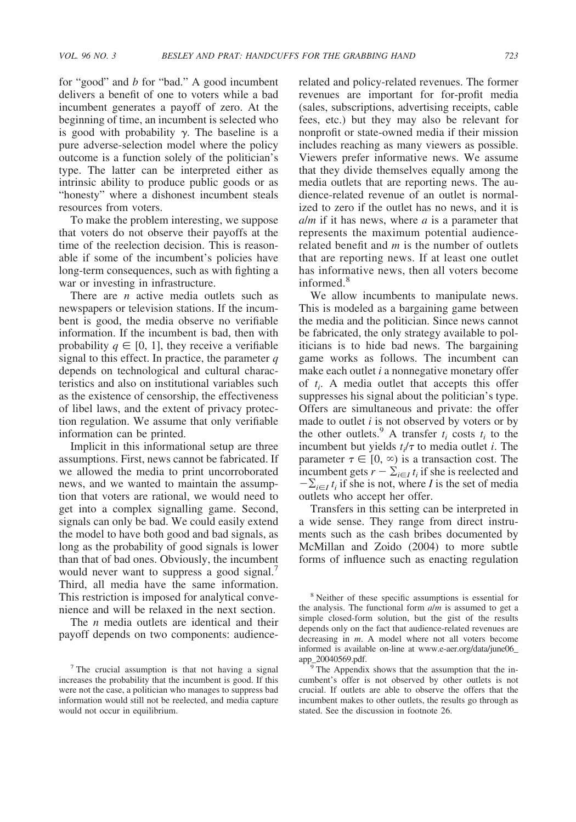for "good" and *b* for "bad." A good incumbent delivers a benefit of one to voters while a bad incumbent generates a payoff of zero. At the beginning of time, an incumbent is selected who is good with probability  $\gamma$ . The baseline is a pure adverse-selection model where the policy outcome is a function solely of the politician's type. The latter can be interpreted either as intrinsic ability to produce public goods or as "honesty" where a dishonest incumbent steals resources from voters.

To make the problem interesting, we suppose that voters do not observe their payoffs at the time of the reelection decision. This is reasonable if some of the incumbent's policies have long-term consequences, such as with fighting a war or investing in infrastructure.

There are *n* active media outlets such as newspapers or television stations. If the incumbent is good, the media observe no verifiable information. If the incumbent is bad, then with probability  $q \in [0, 1]$ , they receive a verifiable signal to this effect. In practice, the parameter *q* depends on technological and cultural characteristics and also on institutional variables such as the existence of censorship, the effectiveness of libel laws, and the extent of privacy protection regulation. We assume that only verifiable information can be printed.

Implicit in this informational setup are three assumptions. First, news cannot be fabricated. If we allowed the media to print uncorroborated news, and we wanted to maintain the assumption that voters are rational, we would need to get into a complex signalling game. Second, signals can only be bad. We could easily extend the model to have both good and bad signals, as long as the probability of good signals is lower than that of bad ones. Obviously, the incumbent would never want to suppress a good signal.<sup>7</sup> Third, all media have the same information. This restriction is imposed for analytical convenience and will be relaxed in the next section.

The *n* media outlets are identical and their payoff depends on two components: audiencerelated and policy-related revenues. The former revenues are important for for-profit media (sales, subscriptions, advertising receipts, cable fees, etc.) but they may also be relevant for nonprofit or state-owned media if their mission includes reaching as many viewers as possible. Viewers prefer informative news. We assume that they divide themselves equally among the media outlets that are reporting news. The audience-related revenue of an outlet is normalized to zero if the outlet has no news, and it is *a*/*m* if it has news, where *a* is a parameter that represents the maximum potential audiencerelated benefit and *m* is the number of outlets that are reporting news. If at least one outlet has informative news, then all voters become informed.<sup>8</sup>

We allow incumbents to manipulate news. This is modeled as a bargaining game between the media and the politician. Since news cannot be fabricated, the only strategy available to politicians is to hide bad news. The bargaining game works as follows. The incumbent can make each outlet *i* a nonnegative monetary offer of  $t_i$ . A media outlet that accepts this offer suppresses his signal about the politician's type. Offers are simultaneous and private: the offer made to outlet *i* is not observed by voters or by the other outlets.<sup>9</sup> A transfer  $t_i$  costs  $t_i$  to the incumbent but yields  $t_i/\tau$  to media outlet *i*. The parameter  $\tau \in [0, \infty)$  is a transaction cost. The incumbent gets  $r - \sum_{i \in I} t_i$  if she is reelected and  $-\sum_{i \in I} t_i$  if she is not, where *I* is the set of media outlets who accept her offer.

Transfers in this setting can be interpreted in a wide sense. They range from direct instruments such as the cash bribes documented by McMillan and Zoido (2004) to more subtle forms of influence such as enacting regulation

<sup>7</sup> The crucial assumption is that not having a signal increases the probability that the incumbent is good. If this were not the case, a politician who manages to suppress bad information would still not be reelected, and media capture would not occur in equilibrium.

<sup>8</sup> Neither of these specific assumptions is essential for the analysis. The functional form *a*/*m* is assumed to get a simple closed-form solution, but the gist of the results depends only on the fact that audience-related revenues are decreasing in *m*. A model where not all voters become informed is available on-line at www.e-aer.org/data/june06\_ app\_20040569.pdf.  $\frac{9}{9}$ The Appendix shows that the assumption that the in-

cumbent's offer is not observed by other outlets is not crucial. If outlets are able to observe the offers that the incumbent makes to other outlets, the results go through as stated. See the discussion in footnote 26.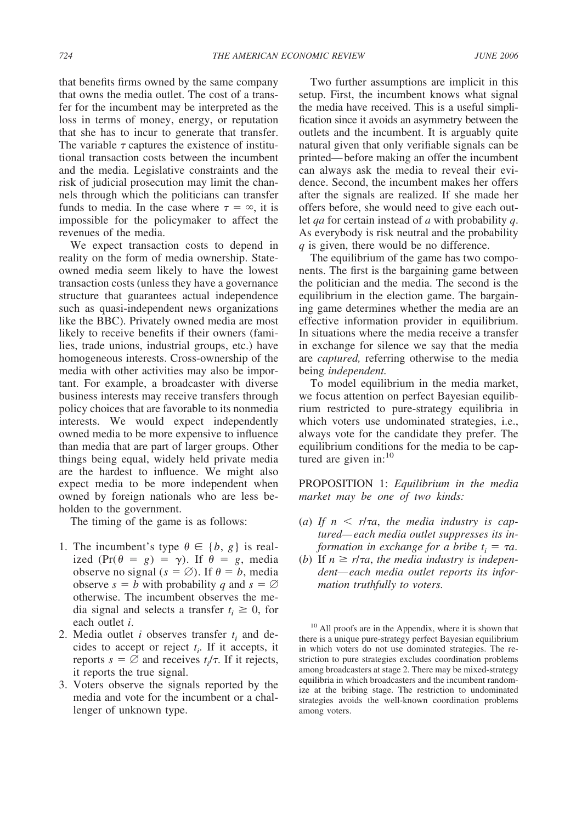that benefits firms owned by the same company that owns the media outlet. The cost of a transfer for the incumbent may be interpreted as the loss in terms of money, energy, or reputation that she has to incur to generate that transfer. The variable  $\tau$  captures the existence of institutional transaction costs between the incumbent and the media. Legislative constraints and the risk of judicial prosecution may limit the channels through which the politicians can transfer funds to media. In the case where  $\tau = \infty$ , it is impossible for the policymaker to affect the revenues of the media.

We expect transaction costs to depend in reality on the form of media ownership. Stateowned media seem likely to have the lowest transaction costs (unless they have a governance structure that guarantees actual independence such as quasi-independent news organizations like the BBC). Privately owned media are most likely to receive benefits if their owners (families, trade unions, industrial groups, etc.) have homogeneous interests. Cross-ownership of the media with other activities may also be important. For example, a broadcaster with diverse business interests may receive transfers through policy choices that are favorable to its nonmedia interests. We would expect independently owned media to be more expensive to influence than media that are part of larger groups. Other things being equal, widely held private media are the hardest to influence. We might also expect media to be more independent when owned by foreign nationals who are less beholden to the government.

The timing of the game is as follows:

- 1. The incumbent's type  $\theta \in \{b, g\}$  is realized  $(\Pr(\theta = g) = \gamma)$ . If  $\theta = g$ , media observe no signal  $(s = \emptyset)$ . If  $\theta = b$ , media observe  $s = b$  with probability *q* and  $s = \emptyset$ otherwise. The incumbent observes the media signal and selects a transfer  $t_i \geq 0$ , for each outlet *i*.
- 2. Media outlet *i* observes transfer  $t_i$  and decides to accept or reject  $t_i$ . If it accepts, it reports  $s = \emptyset$  and receives  $t_i/\tau$ . If it rejects, it reports the true signal.
- 3. Voters observe the signals reported by the media and vote for the incumbent or a challenger of unknown type.

Two further assumptions are implicit in this setup. First, the incumbent knows what signal the media have received. This is a useful simplification since it avoids an asymmetry between the outlets and the incumbent. It is arguably quite natural given that only verifiable signals can be printed—before making an offer the incumbent can always ask the media to reveal their evidence. Second, the incumbent makes her offers after the signals are realized. If she made her offers before, she would need to give each outlet *qa* for certain instead of *a* with probability *q*. As everybody is risk neutral and the probability *q* is given, there would be no difference.

The equilibrium of the game has two components. The first is the bargaining game between the politician and the media. The second is the equilibrium in the election game. The bargaining game determines whether the media are an effective information provider in equilibrium. In situations where the media receive a transfer in exchange for silence we say that the media are *captured,* referring otherwise to the media being *independent.*

To model equilibrium in the media market, we focus attention on perfect Bayesian equilibrium restricted to pure-strategy equilibria in which voters use undominated strategies, i.e., always vote for the candidate they prefer. The equilibrium conditions for the media to be captured are given in: $10$ 

PROPOSITION 1: *Equilibrium in the media market may be one of two kinds:*

- (*a*) If  $n \leq r/\tau a$ , the media industry is cap*tured— each media outlet suppresses its information in exchange for a bribe*  $t_i = \tau a$ *.*
- (*b*) If  $n \ge r/\tau a$ , the media industry is indepen*dent— each media outlet reports its information truthfully to voters.*

<sup>10</sup> All proofs are in the Appendix, where it is shown that there is a unique pure-strategy perfect Bayesian equilibrium in which voters do not use dominated strategies. The restriction to pure strategies excludes coordination problems among broadcasters at stage 2. There may be mixed-strategy equilibria in which broadcasters and the incumbent randomize at the bribing stage. The restriction to undominated strategies avoids the well-known coordination problems among voters.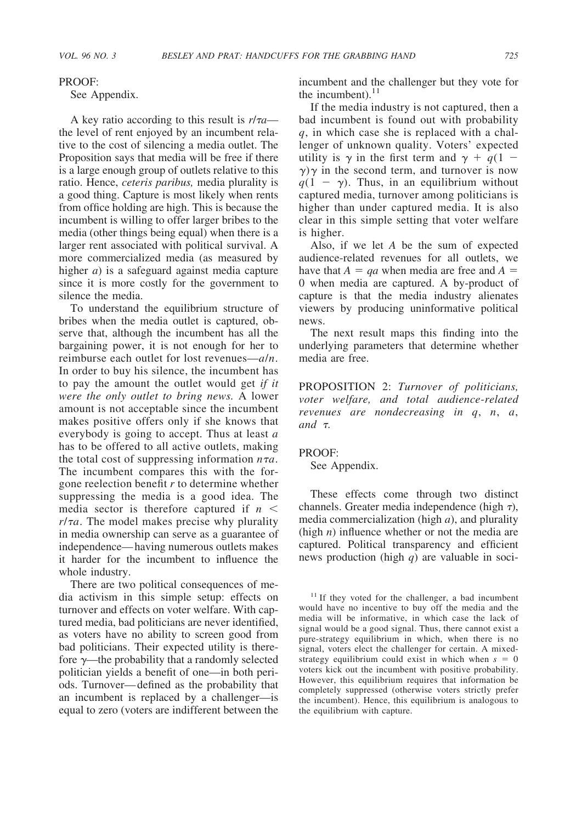#### PROOF:

#### See Appendix.

A key ratio according to this result is *r*/*a* the level of rent enjoyed by an incumbent relative to the cost of silencing a media outlet. The Proposition says that media will be free if there is a large enough group of outlets relative to this ratio. Hence, *ceteris paribus,* media plurality is a good thing. Capture is most likely when rents from office holding are high. This is because the incumbent is willing to offer larger bribes to the media (other things being equal) when there is a larger rent associated with political survival. A more commercialized media (as measured by higher *a*) is a safeguard against media capture since it is more costly for the government to silence the media.

To understand the equilibrium structure of bribes when the media outlet is captured, observe that, although the incumbent has all the bargaining power, it is not enough for her to reimburse each outlet for lost revenues—*a*/*n*. In order to buy his silence, the incumbent has to pay the amount the outlet would get *if it were the only outlet to bring news.* A lower amount is not acceptable since the incumbent makes positive offers only if she knows that everybody is going to accept. Thus at least *a* has to be offered to all active outlets, making the total cost of suppressing information  $n\tau a$ . The incumbent compares this with the forgone reelection benefit *r* to determine whether suppressing the media is a good idea. The media sector is therefore captured if  $n <$  $r/\tau a$ . The model makes precise why plurality in media ownership can serve as a guarantee of independence—having numerous outlets makes it harder for the incumbent to influence the whole industry.

There are two political consequences of media activism in this simple setup: effects on turnover and effects on voter welfare. With captured media, bad politicians are never identified, as voters have no ability to screen good from bad politicians. Their expected utility is therefore  $\gamma$ —the probability that a randomly selected politician yields a benefit of one—in both periods. Turnover—defined as the probability that an incumbent is replaced by a challenger—is equal to zero (voters are indifferent between the incumbent and the challenger but they vote for the incumbent). $11$ 

If the media industry is not captured, then a bad incumbent is found out with probability *q*, in which case she is replaced with a challenger of unknown quality. Voters' expected utility is  $\gamma$  in the first term and  $\gamma + q(1 \gamma$ ) $\gamma$  in the second term, and turnover is now  $q(1 - \gamma)$ . Thus, in an equilibrium without captured media, turnover among politicians is higher than under captured media. It is also clear in this simple setting that voter welfare is higher.

Also, if we let *A* be the sum of expected audience-related revenues for all outlets, we have that  $A = qa$  when media are free and  $A =$ 0 when media are captured. A by-product of capture is that the media industry alienates viewers by producing uninformative political news.

The next result maps this finding into the underlying parameters that determine whether media are free.

PROPOSITION 2: *Turnover of politicians, voter welfare, and total audience-related revenues are nondecreasing in q*, *n*, *a*, *and*  $\tau$ .

#### PROOF:

See Appendix.

These effects come through two distinct channels. Greater media independence (high  $\tau$ ), media commercialization (high *a*), and plurality (high *n*) influence whether or not the media are captured. Political transparency and efficient news production (high *q*) are valuable in soci-

<sup>&</sup>lt;sup>11</sup> If they voted for the challenger, a bad incumbent would have no incentive to buy off the media and the media will be informative, in which case the lack of signal would be a good signal. Thus, there cannot exist a pure-strategy equilibrium in which, when there is no signal, voters elect the challenger for certain. A mixedstrategy equilibrium could exist in which when  $s = 0$ voters kick out the incumbent with positive probability. However, this equilibrium requires that information be completely suppressed (otherwise voters strictly prefer the incumbent). Hence, this equilibrium is analogous to the equilibrium with capture.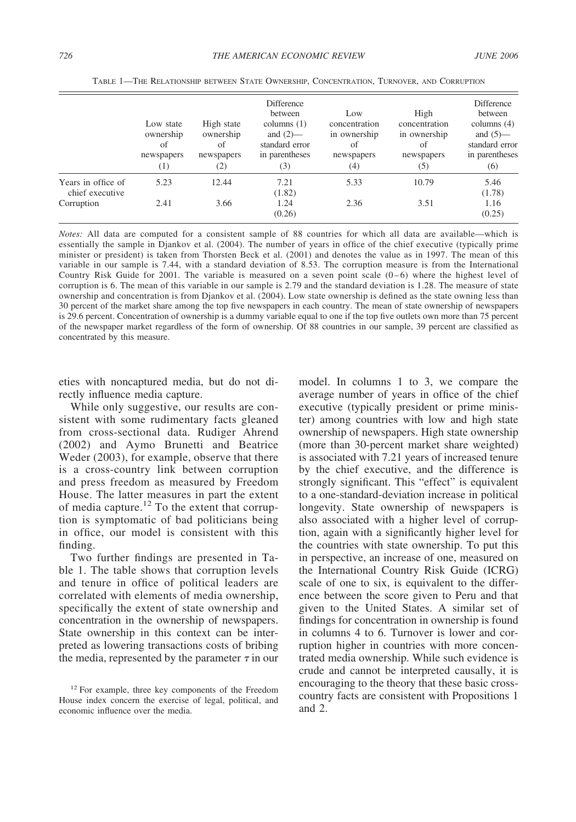|                                       | Low state<br>ownership<br>of<br>newspapers<br>(1) | High state<br>ownership<br>of<br>newspapers<br>(2) | Difference<br>between<br>columns $(1)$<br>and $(2)$ —<br>standard error<br>in parentheses<br>(3) | Low<br>concentration<br>in ownership<br>οf<br>newspapers<br>(4) | High<br>concentration<br>in ownership<br>of<br>newspapers<br>(5) | Difference<br>between<br>columns $(4)$<br>and $(5)$ —<br>standard error<br>in parentheses<br>(6) |
|---------------------------------------|---------------------------------------------------|----------------------------------------------------|--------------------------------------------------------------------------------------------------|-----------------------------------------------------------------|------------------------------------------------------------------|--------------------------------------------------------------------------------------------------|
| Years in office of<br>chief executive | 5.23                                              | 12.44                                              | 7.21<br>(1.82)                                                                                   | 5.33                                                            | 10.79                                                            | 5.46<br>(1.78)                                                                                   |
| Corruption                            | 2.41                                              | 3.66                                               | 1.24<br>(0.26)                                                                                   | 2.36                                                            | 3.51                                                             | 1.16<br>(0.25)                                                                                   |

TABLE 1—THE RELATIONSHIP BETWEEN STATE OWNERSHIP, CONCENTRATION, TURNOVER, AND CORRUPTION

*Notes:* All data are computed for a consistent sample of 88 countries for which all data are available—which is essentially the sample in Djankov et al. (2004). The number of years in office of the chief executive (typically prime minister or president) is taken from Thorsten Beck et al. (2001) and denotes the value as in 1997. The mean of this variable in our sample is 7.44, with a standard deviation of 8.53. The corruption measure is from the International Country Risk Guide for 2001. The variable is measured on a seven point scale  $(0-6)$  where the highest level of corruption is 6. The mean of this variable in our sample is 2.79 and the standard deviation is 1.28. The measure of state ownership and concentration is from Djankov et al. (2004). Low state ownership is defined as the state owning less than 30 percent of the market share among the top five newspapers in each country. The mean of state ownership of newspapers is 29.6 percent. Concentration of ownership is a dummy variable equal to one if the top five outlets own more than 75 percent of the newspaper market regardless of the form of ownership. Of 88 countries in our sample, 39 percent are classified as concentrated by this measure.

eties with noncaptured media, but do not directly influence media capture.

While only suggestive, our results are consistent with some rudimentary facts gleaned from cross-sectional data. Rudiger Ahrend (2002) and Aymo Brunetti and Beatrice Weder (2003), for example, observe that there is a cross-country link between corruption and press freedom as measured by Freedom House. The latter measures in part the extent of media capture.<sup>12</sup> To the extent that corruption is symptomatic of bad politicians being in office, our model is consistent with this finding.

Two further findings are presented in Table 1. The table shows that corruption levels and tenure in office of political leaders are correlated with elements of media ownership, specifically the extent of state ownership and concentration in the ownership of newspapers. State ownership in this context can be interpreted as lowering transactions costs of bribing the media, represented by the parameter  $\tau$  in our

model. In columns 1 to 3, we compare the average number of years in office of the chief executive (typically president or prime minister) among countries with low and high state ownership of newspapers. High state ownership (more than 30-percent market share weighted) is associated with 7.21 years of increased tenure by the chief executive, and the difference is strongly significant. This "effect" is equivalent to a one-standard-deviation increase in political longevity. State ownership of newspapers is also associated with a higher level of corruption, again with a significantly higher level for the countries with state ownership. To put this in perspective, an increase of one, measured on the International Country Risk Guide (ICRG) scale of one to six, is equivalent to the difference between the score given to Peru and that given to the United States. A similar set of findings for concentration in ownership is found in columns 4 to 6. Turnover is lower and corruption higher in countries with more concentrated media ownership. While such evidence is crude and cannot be interpreted causally, it is encouraging to the theory that these basic crosscountry facts are consistent with Propositions 1 and 2.

<sup>&</sup>lt;sup>12</sup> For example, three key components of the Freedom House index concern the exercise of legal, political, and economic influence over the media.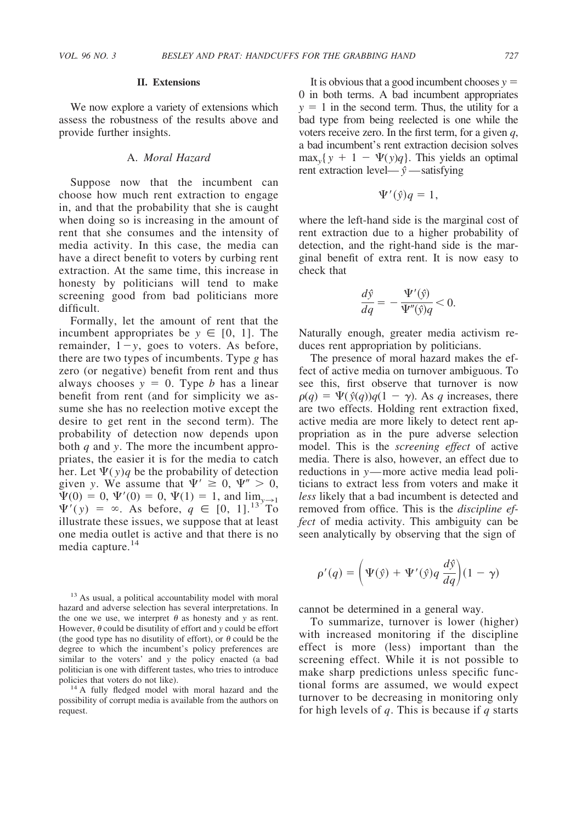#### **II. Extensions**

We now explore a variety of extensions which assess the robustness of the results above and provide further insights.

#### A. *Moral Hazard*

Suppose now that the incumbent can choose how much rent extraction to engage in, and that the probability that she is caught when doing so is increasing in the amount of rent that she consumes and the intensity of media activity. In this case, the media can have a direct benefit to voters by curbing rent extraction. At the same time, this increase in honesty by politicians will tend to make screening good from bad politicians more difficult.

Formally, let the amount of rent that the incumbent appropriates be  $y \in [0, 1]$ . The remainder,  $1-y$ , goes to voters. As before, there are two types of incumbents. Type *g* has zero (or negative) benefit from rent and thus always chooses  $y = 0$ . Type *b* has a linear benefit from rent (and for simplicity we assume she has no reelection motive except the desire to get rent in the second term). The probability of detection now depends upon both *q* and *y*. The more the incumbent appropriates, the easier it is for the media to catch her. Let  $\Psi(y)q$  be the probability of detection given *y*. We assume that  $\Psi' \geq 0$ ,  $\Psi'' > 0$ ,  $\Psi(0) = 0$ ,  $\Psi'(0) = 0$ ,  $\Psi(1) = 1$ , and  $\lim_{y \to 1}$  $\Psi'(y) = \infty$ . As before,  $q \in [0, 1]$ .<sup>13'</sup>To illustrate these issues, we suppose that at least one media outlet is active and that there is no media capture.<sup>14</sup>

<sup>13</sup> As usual, a political accountability model with moral hazard and adverse selection has several interpretations. In the one we use, we interpret  $\theta$  as honesty and *y* as rent. However,  $\theta$  could be disutility of effort and *y* could be effort (the good type has no disutility of effort), or  $\theta$  could be the degree to which the incumbent's policy preferences are similar to the voters' and *y* the policy enacted (a bad politician is one with different tastes, who tries to introduce

<sup>4</sup> A fully fledged model with moral hazard and the possibility of corrupt media is available from the authors on request.

It is obvious that a good incumbent chooses  $y =$ 0 in both terms. A bad incumbent appropriates  $y = 1$  in the second term. Thus, the utility for a bad type from being reelected is one while the voters receive zero. In the first term, for a given *q*, a bad incumbent's rent extraction decision solves  $\max_{y} \{y + 1 - \Psi(y)q\}.$  This yields an optimal rent extraction level—  $\hat{y}$  —satisfying

$$
\Psi'(\hat{y})q=1,
$$

where the left-hand side is the marginal cost of rent extraction due to a higher probability of detection, and the right-hand side is the marginal benefit of extra rent. It is now easy to check that

$$
\frac{d\hat{y}}{dq} = -\frac{\Psi'(\hat{y})}{\Psi''(\hat{y})q} < 0.
$$

Naturally enough, greater media activism reduces rent appropriation by politicians.

The presence of moral hazard makes the effect of active media on turnover ambiguous. To see this, first observe that turnover is now  $\rho(q) = \Psi(\hat{y}(q))q(1 - \gamma)$ . As *q* increases, there are two effects. Holding rent extraction fixed, active media are more likely to detect rent appropriation as in the pure adverse selection model. This is the *screening effect* of active media. There is also, however, an effect due to reductions in *y*—more active media lead politicians to extract less from voters and make it *less* likely that a bad incumbent is detected and removed from office. This is the *discipline effect* of media activity. This ambiguity can be seen analytically by observing that the sign of

$$
\rho'(q) = \left(\Psi(\hat{y}) + \Psi'(\hat{y})q \frac{d\hat{y}}{dq}\right)(1-\gamma)
$$

cannot be determined in a general way.

To summarize, turnover is lower (higher) with increased monitoring if the discipline effect is more (less) important than the screening effect. While it is not possible to make sharp predictions unless specific functional forms are assumed, we would expect turnover to be decreasing in monitoring only for high levels of *q*. This is because if *q* starts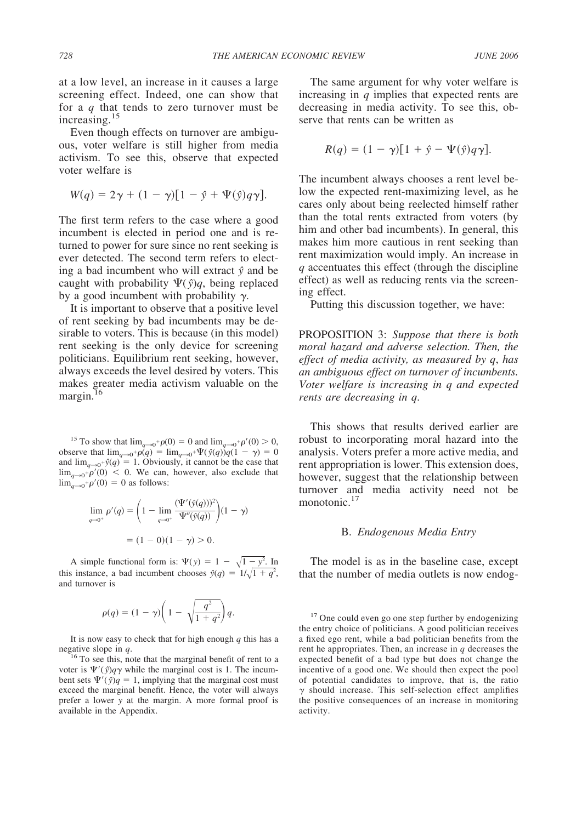at a low level, an increase in it causes a large screening effect. Indeed, one can show that for a *q* that tends to zero turnover must be increasing.<sup>15</sup>

Even though effects on turnover are ambiguous, voter welfare is still higher from media activism. To see this, observe that expected voter welfare is

$$
W(q) = 2\gamma + (1 - \gamma)[1 - \hat{y} + \Psi(\hat{y})q\gamma].
$$

The first term refers to the case where a good incumbent is elected in period one and is returned to power for sure since no rent seeking is ever detected. The second term refers to electing a bad incumbent who will extract *yˆ* and be caught with probability  $\Psi(\hat{y})q$ , being replaced by a good incumbent with probability  $\gamma$ .

It is important to observe that a positive level of rent seeking by bad incumbents may be desirable to voters. This is because (in this model) rent seeking is the only device for screening politicians. Equilibrium rent seeking, however, always exceeds the level desired by voters. This makes greater media activism valuable on the margin.<sup>16</sup>

<sup>15</sup> To show that  $\lim_{q \to 0^+} \rho(0) = 0$  and  $\lim_{q \to 0^+} \rho'(0) > 0$ , observe that  $\lim_{q\to 0^+} \rho(q) = \lim_{q\to 0^+} \Psi(\hat{y}(q))q(1 - \gamma) = 0$ and  $\lim_{a\to 0^+} \hat{y}(q) = 1$ . Obviously, it cannot be the case that  $\lim_{q\to 0^+} \rho'(0) < 0$ . We can, however, also exclude that  $\lim_{q\to 0^+}\rho'(0) = 0$  as follows:

$$
\lim_{q \to 0^+} \rho'(q) = \left(1 - \lim_{q \to 0^+} \frac{(\Psi'(\hat{y}(q)))^2}{\Psi''(\hat{y}(q))}\right)(1 - \gamma)
$$

$$
= (1 - 0)(1 - \gamma) > 0.
$$

A simple functional form is:  $\Psi(y) = 1 - \sqrt{1 - y^2}$ . In this instance, a bad incumbent chooses  $\hat{y}(q) = 1/\sqrt{1 + q^2}$ , and turnover is

$$
\rho(q) = (1 - \gamma) \left( 1 - \sqrt{\frac{q^2}{1 + q^2}} \right) q.
$$

It is now easy to check that for high enough  $q$  this has a negative slope in  $q$ .

<sup>16</sup> To see this, note that the marginal benefit of rent to a voter is  $\Psi'(\hat{y})q\gamma$  while the marginal cost is 1. The incumbent sets  $\Psi'(\hat{y})q = 1$ , implying that the marginal cost must exceed the marginal benefit. Hence, the voter will always prefer a lower *y* at the margin. A more formal proof is available in the Appendix.

The same argument for why voter welfare is increasing in *q* implies that expected rents are decreasing in media activity. To see this, observe that rents can be written as

$$
R(q) = (1 - \gamma)[1 + \hat{y} - \Psi(\hat{y})q\gamma].
$$

The incumbent always chooses a rent level below the expected rent-maximizing level, as he cares only about being reelected himself rather than the total rents extracted from voters (by him and other bad incumbents). In general, this makes him more cautious in rent seeking than rent maximization would imply. An increase in *q* accentuates this effect (through the discipline effect) as well as reducing rents via the screening effect.

Putting this discussion together, we have:

PROPOSITION 3: *Suppose that there is both moral hazard and adverse selection. Then, the effect of media activity, as measured by q*, *has an ambiguous effect on turnover of incumbents. Voter welfare is increasing in q and expected rents are decreasing in q*.

This shows that results derived earlier are robust to incorporating moral hazard into the analysis. Voters prefer a more active media, and rent appropriation is lower. This extension does, however, suggest that the relationship between turnover and media activity need not be monotonic.<sup>17</sup>

#### B. *Endogenous Media Entry*

The model is as in the baseline case, except that the number of media outlets is now endog-

<sup>&</sup>lt;sup>17</sup> One could even go one step further by endogenizing the entry choice of politicians. A good politician receives a fixed ego rent, while a bad politician benefits from the rent he appropriates. Then, an increase in *q* decreases the expected benefit of a bad type but does not change the incentive of a good one. We should then expect the pool of potential candidates to improve, that is, the ratio  $\gamma$  should increase. This self-selection effect amplifies the positive consequences of an increase in monitoring activity.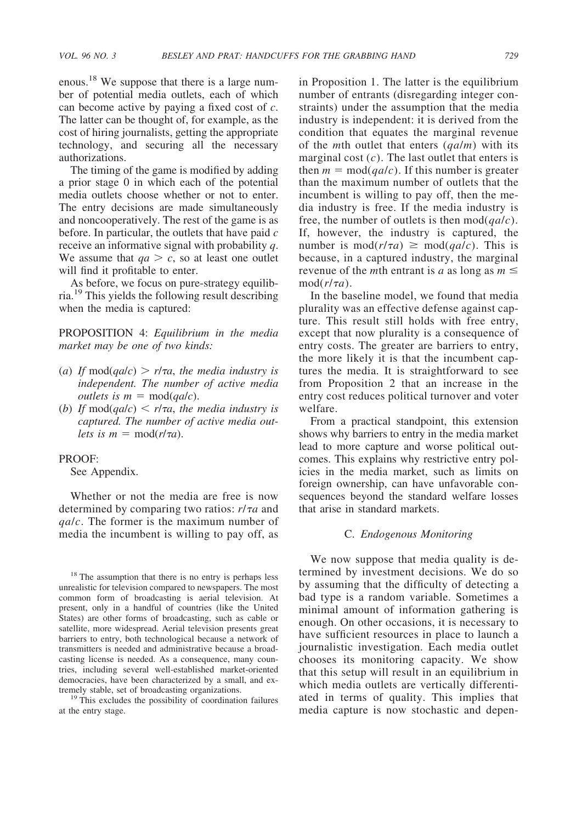enous.18 We suppose that there is a large number of potential media outlets, each of which can become active by paying a fixed cost of *c*. The latter can be thought of, for example, as the cost of hiring journalists, getting the appropriate technology, and securing all the necessary authorizations.

The timing of the game is modified by adding a prior stage 0 in which each of the potential media outlets choose whether or not to enter. The entry decisions are made simultaneously and noncooperatively. The rest of the game is as before. In particular, the outlets that have paid *c* receive an informative signal with probability *q*. We assume that  $qa > c$ , so at least one outlet will find it profitable to enter.

As before, we focus on pure-strategy equilibria.19 This yields the following result describing when the media is captured:

PROPOSITION 4: *Equilibrium in the media market may be one of two kinds:*

- (*a*) If mod(*qalc*)  $> r/\tau a$ , the media industry is *independent. The number of active media outlets is m = mod(* $qalc$ *).*
- (*b*) If mod(*qalc*)  $\leq r/\tau a$ , the media industry is *captured. The number of active media outlets is*  $m = \text{mod}(r/\tau a)$ .

#### PROOF:

See Appendix.

Whether or not the media are free is now determined by comparing two ratios:  $r/\tau a$  and *qa*/*c*. The former is the maximum number of media the incumbent is willing to pay off, as

<sup>18</sup> The assumption that there is no entry is perhaps less unrealistic for television compared to newspapers. The most common form of broadcasting is aerial television. At present, only in a handful of countries (like the United States) are other forms of broadcasting, such as cable or satellite, more widespread. Aerial television presents great barriers to entry, both technological because a network of transmitters is needed and administrative because a broadcasting license is needed. As a consequence, many countries, including several well-established market-oriented democracies, have been characterized by a small, and ex-

tremely stable, set of broadcasting organizations. <sup>19</sup> This excludes the possibility of coordination failures at the entry stage.

in Proposition 1. The latter is the equilibrium number of entrants (disregarding integer constraints) under the assumption that the media industry is independent: it is derived from the condition that equates the marginal revenue of the *m*th outlet that enters (*qa*/*m*) with its marginal cost  $(c)$ . The last outlet that enters is then  $m = \text{mod}(qalc)$ . If this number is greater than the maximum number of outlets that the incumbent is willing to pay off, then the media industry is free. If the media industry is free, the number of outlets is then mod(*qa*/*c*). If, however, the industry is captured, the number is mod $(r/\tau a) \geq \text{mod}(q a/c)$ . This is because, in a captured industry, the marginal revenue of the *m*th entrant is *a* as long as  $m \leq$  $mod(r/\tau a)$ .

In the baseline model, we found that media plurality was an effective defense against capture. This result still holds with free entry, except that now plurality is a consequence of entry costs. The greater are barriers to entry, the more likely it is that the incumbent captures the media. It is straightforward to see from Proposition 2 that an increase in the entry cost reduces political turnover and voter welfare.

From a practical standpoint, this extension shows why barriers to entry in the media market lead to more capture and worse political outcomes. This explains why restrictive entry policies in the media market, such as limits on foreign ownership, can have unfavorable consequences beyond the standard welfare losses that arise in standard markets.

#### C. *Endogenous Monitoring*

We now suppose that media quality is determined by investment decisions. We do so by assuming that the difficulty of detecting a bad type is a random variable. Sometimes a minimal amount of information gathering is enough. On other occasions, it is necessary to have sufficient resources in place to launch a journalistic investigation. Each media outlet chooses its monitoring capacity. We show that this setup will result in an equilibrium in which media outlets are vertically differentiated in terms of quality. This implies that media capture is now stochastic and depen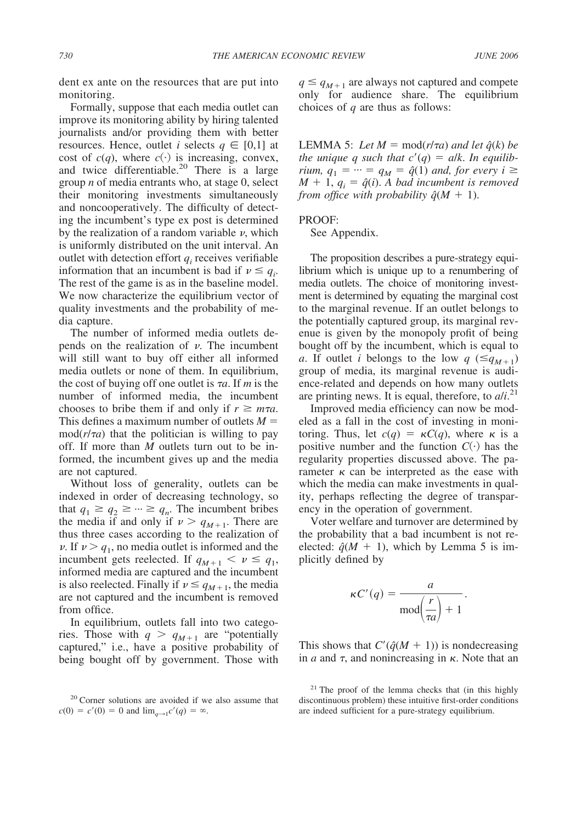dent ex ante on the resources that are put into monitoring.

Formally, suppose that each media outlet can improve its monitoring ability by hiring talented journalists and/or providing them with better resources. Hence, outlet *i* selects  $q \in [0,1]$  at cost of  $c(q)$ , where  $c(\cdot)$  is increasing, convex, and twice differentiable.<sup>20</sup> There is a large group *n* of media entrants who, at stage 0, select their monitoring investments simultaneously and noncooperatively. The difficulty of detecting the incumbent's type ex post is determined by the realization of a random variable  $\nu$ , which is uniformly distributed on the unit interval. An outlet with detection effort  $q_i$  receives verifiable information that an incumbent is bad if  $\nu \leq q_i$ . The rest of the game is as in the baseline model. We now characterize the equilibrium vector of quality investments and the probability of media capture.

The number of informed media outlets depends on the realization of  $\nu$ . The incumbent will still want to buy off either all informed media outlets or none of them. In equilibrium, the cost of buying off one outlet is  $\tau a$ . If *m* is the number of informed media, the incumbent chooses to bribe them if and only if  $r \geq m\pi a$ . This defines a maximum number of outlets *M*  $mod(r/\tau a)$  that the politician is willing to pay off. If more than *M* outlets turn out to be informed, the incumbent gives up and the media are not captured.

Without loss of generality, outlets can be indexed in order of decreasing technology, so that  $q_1 \ge q_2 \ge \cdots \ge q_n$ . The incumbent bribes the media if and only if  $\nu > q_{M+1}$ . There are thus three cases according to the realization of  $\nu$ . If  $\nu > q_1$ , no media outlet is informed and the incumbent gets reelected. If  $q_{M+1} < \nu \leq q_1$ , informed media are captured and the incumbent is also reelected. Finally if  $\nu \leq q_{M+1}$ , the media are not captured and the incumbent is removed from office.

In equilibrium, outlets fall into two categories. Those with  $q > q_{M+1}$  are "potentially" captured," i.e., have a positive probability of being bought off by government. Those with

 $q \leq q_{M+1}$  are always not captured and compete only for audience share. The equilibrium choices of *q* are thus as follows:

LEMMA 5: Let  $M = \text{mod}(r/\tau a)$  and let  $\hat{q}(k)$  be *the unique q such that*  $c'(q) = a/k$ *. In equilibrium,*  $q_1 = \cdots = q_M = \hat{q}(1)$  *and, for every i*  $\geq$  $M + 1$ ,  $q_i = \hat{q}(i)$ . *A bad incumbent is removed from office with probability*  $\hat{q}(M + 1)$ *.* 

#### PROOF:

See Appendix.

The proposition describes a pure-strategy equilibrium which is unique up to a renumbering of media outlets. The choice of monitoring investment is determined by equating the marginal cost to the marginal revenue. If an outlet belongs to the potentially captured group, its marginal revenue is given by the monopoly profit of being bought off by the incumbent, which is equal to *a*. If outlet *i* belongs to the low  $q \left(\leq q_{M+1}\right)$ group of media, its marginal revenue is audience-related and depends on how many outlets are printing news. It is equal, therefore, to *a*/*i*. 21

Improved media efficiency can now be modeled as a fall in the cost of investing in monitoring. Thus, let  $c(q) = \kappa C(q)$ , where  $\kappa$  is a positive number and the function  $C(\cdot)$  has the regularity properties discussed above. The parameter  $\kappa$  can be interpreted as the ease with which the media can make investments in quality, perhaps reflecting the degree of transparency in the operation of government.

Voter welfare and turnover are determined by the probability that a bad incumbent is not reelected:  $\hat{q}(M + 1)$ , which by Lemma 5 is implicitly defined by

$$
\kappa C'(q) = \frac{a}{\text{mod}\left(\frac{r}{\tau a}\right) + 1}.
$$

This shows that  $C'(\hat{q}(M + 1))$  is nondecreasing in  $a$  and  $\tau$ , and nonincreasing in  $\kappa$ . Note that an

<sup>20</sup> Corner solutions are avoided if we also assume that  $c(0) = c'(0) = 0$  and  $\lim_{q \to 1} c'(q) = \infty$ .

 $21$  The proof of the lemma checks that (in this highly discontinuous problem) these intuitive first-order conditions are indeed sufficient for a pure-strategy equilibrium.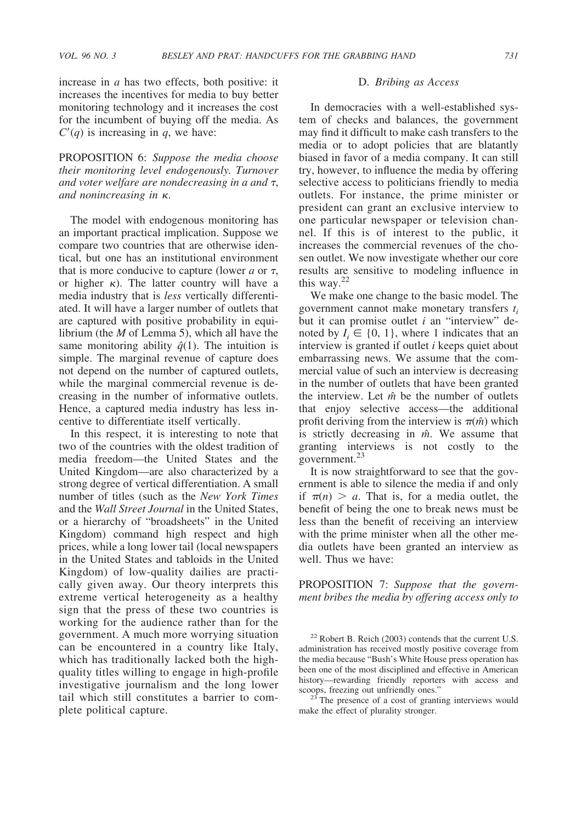increase in *a* has two effects, both positive: it increases the incentives for media to buy better monitoring technology and it increases the cost for the incumbent of buying off the media. As  $C'(q)$  is increasing in *q*, we have:

PROPOSITION 6: *Suppose the media choose their monitoring level endogenously. Turnover and voter welfare are nondecreasing in a and*  $\tau$ , *and nonincreasing in* .

The model with endogenous monitoring has an important practical implication. Suppose we compare two countries that are otherwise identical, but one has an institutional environment that is more conducive to capture (lower  $a$  or  $\tau$ , or higher  $\kappa$ ). The latter country will have a media industry that is *less* vertically differentiated. It will have a larger number of outlets that are captured with positive probability in equilibrium (the *M* of Lemma 5), which all have the same monitoring ability  $\hat{q}(1)$ . The intuition is simple. The marginal revenue of capture does not depend on the number of captured outlets, while the marginal commercial revenue is decreasing in the number of informative outlets. Hence, a captured media industry has less incentive to differentiate itself vertically.

In this respect, it is interesting to note that two of the countries with the oldest tradition of media freedom—the United States and the United Kingdom—are also characterized by a strong degree of vertical differentiation. A small number of titles (such as the *New York Times* and the *Wall Street Journal* in the United States, or a hierarchy of "broadsheets" in the United Kingdom) command high respect and high prices, while a long lower tail (local newspapers in the United States and tabloids in the United Kingdom) of low-quality dailies are practically given away. Our theory interprets this extreme vertical heterogeneity as a healthy sign that the press of these two countries is working for the audience rather than for the government. A much more worrying situation can be encountered in a country like Italy, which has traditionally lacked both the highquality titles willing to engage in high-profile investigative journalism and the long lower tail which still constitutes a barrier to complete political capture.

#### D. *Bribing as Access*

In democracies with a well-established system of checks and balances, the government may find it difficult to make cash transfers to the media or to adopt policies that are blatantly biased in favor of a media company. It can still try, however, to influence the media by offering selective access to politicians friendly to media outlets. For instance, the prime minister or president can grant an exclusive interview to one particular newspaper or television channel. If this is of interest to the public, it increases the commercial revenues of the chosen outlet. We now investigate whether our core results are sensitive to modeling influence in this way. $22$ 

We make one change to the basic model. The government cannot make monetary transfers *ti* but it can promise outlet *i* an "interview" denoted by  $I_i \in \{0, 1\}$ , where 1 indicates that an interview is granted if outlet *i* keeps quiet about embarrassing news. We assume that the commercial value of such an interview is decreasing in the number of outlets that have been granted the interview. Let *mˆ* be the number of outlets that enjoy selective access—the additional profit deriving from the interview is  $\pi(\hat{m})$  which is strictly decreasing in  $\hat{m}$ . We assume that granting interviews is not costly to the government. $^{23}$ 

It is now straightforward to see that the government is able to silence the media if and only if  $\pi(n) > a$ . That is, for a media outlet, the benefit of being the one to break news must be less than the benefit of receiving an interview with the prime minister when all the other media outlets have been granted an interview as well. Thus we have:

PROPOSITION 7: *Suppose that the government bribes the media by offering access only to*

The presence of a cost of granting interviews would make the effect of plurality stronger.

 $22$  Robert B. Reich (2003) contends that the current U.S. administration has received mostly positive coverage from the media because "Bush's White House press operation has been one of the most disciplined and effective in American history—rewarding friendly reporters with access and scoops, freezing out unfriendly ones."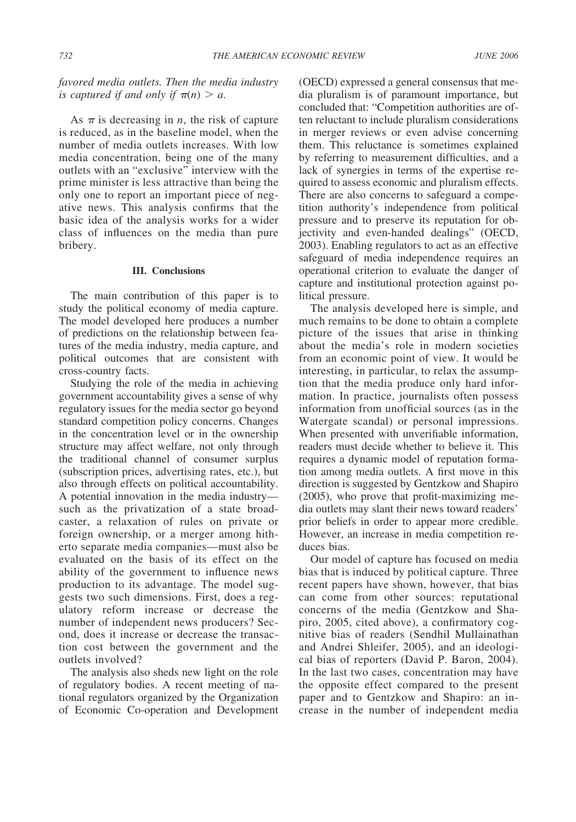#### *favored media outlets. Then the media industry is captured if and only if*  $\pi(n) > a$ .

As  $\pi$  is decreasing in *n*, the risk of capture is reduced, as in the baseline model, when the number of media outlets increases. With low media concentration, being one of the many outlets with an "exclusive" interview with the prime minister is less attractive than being the only one to report an important piece of negative news. This analysis confirms that the basic idea of the analysis works for a wider class of influences on the media than pure bribery.

#### **III. Conclusions**

The main contribution of this paper is to study the political economy of media capture. The model developed here produces a number of predictions on the relationship between features of the media industry, media capture, and political outcomes that are consistent with cross-country facts.

Studying the role of the media in achieving government accountability gives a sense of why regulatory issues for the media sector go beyond standard competition policy concerns. Changes in the concentration level or in the ownership structure may affect welfare, not only through the traditional channel of consumer surplus (subscription prices, advertising rates, etc.), but also through effects on political accountability. A potential innovation in the media industry such as the privatization of a state broadcaster, a relaxation of rules on private or foreign ownership, or a merger among hitherto separate media companies—must also be evaluated on the basis of its effect on the ability of the government to influence news production to its advantage. The model suggests two such dimensions. First, does a regulatory reform increase or decrease the number of independent news producers? Second, does it increase or decrease the transaction cost between the government and the outlets involved?

The analysis also sheds new light on the role of regulatory bodies. A recent meeting of national regulators organized by the Organization of Economic Co-operation and Development (OECD) expressed a general consensus that media pluralism is of paramount importance, but concluded that: "Competition authorities are often reluctant to include pluralism considerations in merger reviews or even advise concerning them. This reluctance is sometimes explained by referring to measurement difficulties, and a lack of synergies in terms of the expertise required to assess economic and pluralism effects. There are also concerns to safeguard a competition authority's independence from political pressure and to preserve its reputation for objectivity and even-handed dealings" (OECD, 2003). Enabling regulators to act as an effective safeguard of media independence requires an operational criterion to evaluate the danger of capture and institutional protection against political pressure.

The analysis developed here is simple, and much remains to be done to obtain a complete picture of the issues that arise in thinking about the media's role in modern societies from an economic point of view. It would be interesting, in particular, to relax the assumption that the media produce only hard information. In practice, journalists often possess information from unofficial sources (as in the Watergate scandal) or personal impressions. When presented with unverifiable information, readers must decide whether to believe it. This requires a dynamic model of reputation formation among media outlets. A first move in this direction is suggested by Gentzkow and Shapiro (2005), who prove that profit-maximizing media outlets may slant their news toward readers' prior beliefs in order to appear more credible. However, an increase in media competition reduces bias.

Our model of capture has focused on media bias that is induced by political capture. Three recent papers have shown, however, that bias can come from other sources: reputational concerns of the media (Gentzkow and Shapiro, 2005, cited above), a confirmatory cognitive bias of readers (Sendhil Mullainathan and Andrei Shleifer, 2005), and an ideological bias of reporters (David P. Baron, 2004). In the last two cases, concentration may have the opposite effect compared to the present paper and to Gentzkow and Shapiro: an increase in the number of independent media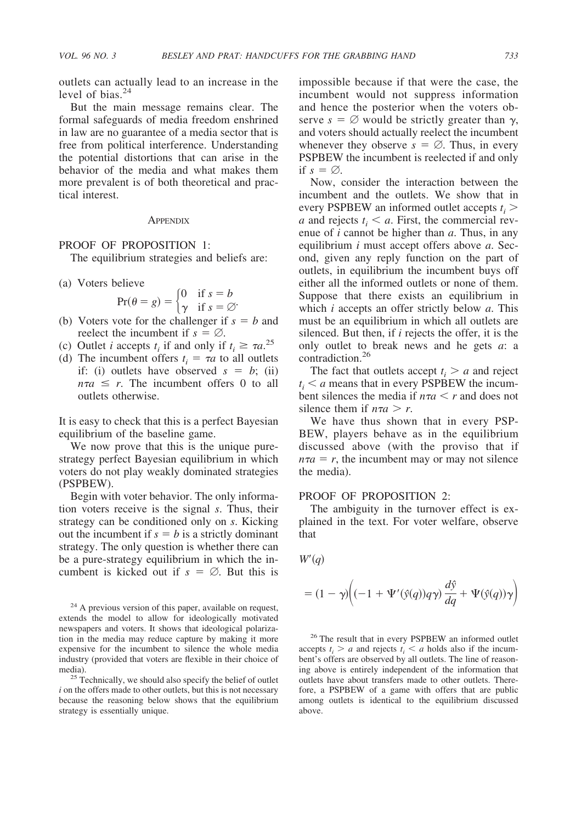outlets can actually lead to an increase in the level of bias. $24$ 

But the main message remains clear. The formal safeguards of media freedom enshrined in law are no guarantee of a media sector that is free from political interference. Understanding the potential distortions that can arise in the behavior of the media and what makes them more prevalent is of both theoretical and practical interest.

#### **APPENDIX**

#### PROOF OF PROPOSITION 1:

The equilibrium strategies and beliefs are:

(a) Voters believe

$$
\Pr(\theta = g) = \begin{cases} 0 & \text{if } s = b \\ \gamma & \text{if } s = \varnothing \end{cases}
$$

- (b) Voters vote for the challenger if  $s = b$  and reelect the incumbent if  $s = \emptyset$ .
- (c) Outlet *i* accepts  $t_i$  if and only if  $t_i \geq \tau a$ .<sup>25</sup>
- (d) The incumbent offers  $t_i = \tau a$  to all outlets if: (i) outlets have observed  $s = b$ ; (ii)  $n\tau a \leq r$ . The incumbent offers 0 to all outlets otherwise.

It is easy to check that this is a perfect Bayesian equilibrium of the baseline game.

We now prove that this is the unique purestrategy perfect Bayesian equilibrium in which voters do not play weakly dominated strategies (PSPBEW).

Begin with voter behavior. The only information voters receive is the signal *s*. Thus, their strategy can be conditioned only on *s*. Kicking out the incumbent if  $s = b$  is a strictly dominant strategy. The only question is whether there can be a pure-strategy equilibrium in which the incumbent is kicked out if  $s = \emptyset$ . But this is

media). <sup>25</sup> Technically, we should also specify the belief of outlet *i* on the offers made to other outlets, but this is not necessary because the reasoning below shows that the equilibrium strategy is essentially unique.

impossible because if that were the case, the incumbent would not suppress information and hence the posterior when the voters observe  $s = \emptyset$  would be strictly greater than  $\gamma$ , and voters should actually reelect the incumbent whenever they observe  $s = \emptyset$ . Thus, in every PSPBEW the incumbent is reelected if and only if  $s = \emptyset$ .

Now, consider the interaction between the incumbent and the outlets. We show that in every PSPBEW an informed outlet accepts *ti a* and rejects  $t_i < a$ . First, the commercial revenue of *i* cannot be higher than *a*. Thus, in any equilibrium *i* must accept offers above *a*. Second, given any reply function on the part of outlets, in equilibrium the incumbent buys off either all the informed outlets or none of them. Suppose that there exists an equilibrium in which *i* accepts an offer strictly below *a*. This must be an equilibrium in which all outlets are silenced. But then, if *i* rejects the offer, it is the only outlet to break news and he gets *a*: a contradiction.26

The fact that outlets accept  $t_i > a$  and reject  $t_i < a$  means that in every PSPBEW the incumbent silences the media if  $n\tau a \leq r$  and does not silence them if  $n\tau a > r$ .

We have thus shown that in every PSP-BEW, players behave as in the equilibrium discussed above (with the proviso that if  $n\tau a = r$ , the incumbent may or may not silence the media).

#### PROOF OF PROPOSITION 2:

The ambiguity in the turnover effect is explained in the text. For voter welfare, observe that

*W q*

$$
= (1 - \gamma) \bigg( (-1 + \Psi'(\hat{y}(q))q\gamma) \frac{d\hat{y}}{dq} + \Psi(\hat{y}(q))\gamma \bigg)
$$

<sup>26</sup> The result that in every PSPBEW an informed outlet accepts  $t_i > a$  and rejects  $t_i < a$  holds also if the incumbent's offers are observed by all outlets. The line of reasoning above is entirely independent of the information that outlets have about transfers made to other outlets. Therefore, a PSPBEW of a game with offers that are public among outlets is identical to the equilibrium discussed above.

<sup>&</sup>lt;sup>24</sup> A previous version of this paper, available on request, extends the model to allow for ideologically motivated newspapers and voters. It shows that ideological polarization in the media may reduce capture by making it more expensive for the incumbent to silence the whole media industry (provided that voters are flexible in their choice of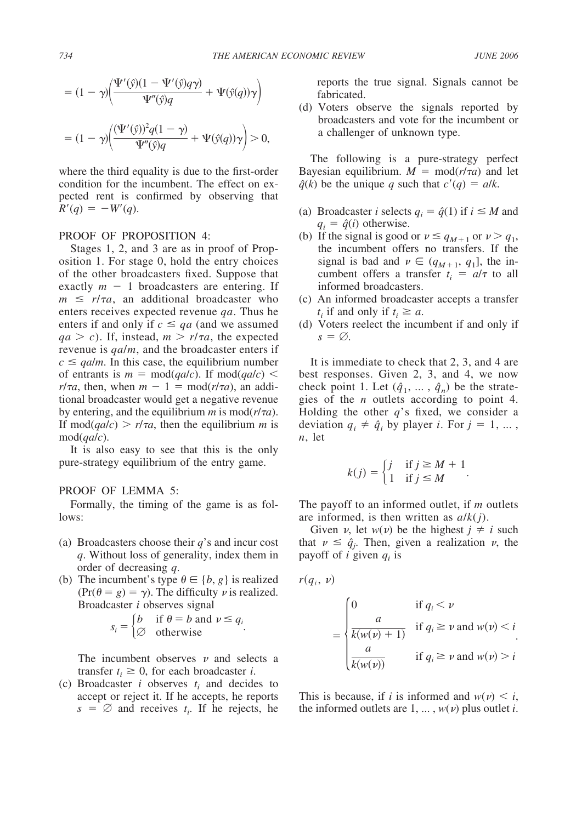$$
= (1 - \gamma) \left( \frac{\Psi'(\hat{y})(1 - \Psi'(\hat{y})q\gamma)}{\Psi''(\hat{y})q} + \Psi(\hat{y}(q))\gamma \right)
$$
  

$$
= (1 - \gamma) \left( \frac{(\Psi'(\hat{y}))^2 q(1 - \gamma)}{\Psi''(\hat{y})q} + \Psi(\hat{y}(q))\gamma \right) > 0,
$$

where the third equality is due to the first-order condition for the incumbent. The effect on expected rent is confirmed by observing that  $R'(q) = -W'(q)$ .

#### PROOF OF PROPOSITION 4:

Stages 1, 2, and 3 are as in proof of Proposition 1. For stage 0, hold the entry choices of the other broadcasters fixed. Suppose that exactly  $m - 1$  broadcasters are entering. If  $m \le r/\tau a$ , an additional broadcaster who enters receives expected revenue *qa*. Thus he enters if and only if  $c \le qa$  (and we assumed  $qa > c$ ). If, instead,  $m > r/\tau a$ , the expected revenue is *qa*/*m*, and the broadcaster enters if  $c \leq qa/m$ . In this case, the equilibrium number of entrants is  $m = \text{mod}(qalc)$ . If  $\text{mod}(qalc)$  $r/\tau a$ , then, when  $m - 1 = \text{mod}(r/\tau a)$ , an additional broadcaster would get a negative revenue by entering, and the equilibrium *m* is mod( $r/\tau a$ ). If mod(*qalc*)  $> r/\tau a$ , then the equilibrium *m* is mod(*qa*/*c*).

It is also easy to see that this is the only pure-strategy equilibrium of the entry game.

#### PROOF OF LEMMA 5:

Formally, the timing of the game is as follows:

- (a) Broadcasters choose their *q*'s and incur cost *q*. Without loss of generality, index them in order of decreasing *q*.
- (b) The incumbent's type  $\theta \in \{b, g\}$  is realized  $(\Pr(\theta = g) = \gamma)$ . The difficulty v is realized. Broadcaster *i* observes signal

$$
s_i = \begin{cases} b & \text{if } \theta = b \text{ and } \nu \le q_i \\ \varnothing & \text{otherwise} \end{cases}.
$$

The incumbent observes  $\nu$  and selects a transfer  $t_i \geq 0$ , for each broadcaster *i*.

(c) Broadcaster  $i$  observes  $t_i$  and decides to accept or reject it. If he accepts, he reports  $s = \emptyset$  and receives  $t_i$ . If he rejects, he

reports the true signal. Signals cannot be fabricated.

(d) Voters observe the signals reported by broadcasters and vote for the incumbent or a challenger of unknown type.

The following is a pure-strategy perfect Bayesian equilibrium.  $M = \text{mod}(r/\tau a)$  and let  $\hat{q}(k)$  be the unique *q* such that  $c'(q) = a/k$ .

- (a) Broadcaster *i* selects  $q_i = \hat{q}(1)$  if  $i \leq M$  and  $q_i = \hat{q}(i)$  otherwise.
- (b) If the signal is good or  $\nu \le q_{M+1}$  or  $\nu > q_1$ , the incumbent offers no transfers. If the signal is bad and  $\nu \in (q_{M+1}, q_1]$ , the incumbent offers a transfer  $t_i = a/\tau$  to all informed broadcasters.
- (c) An informed broadcaster accepts a transfer  $t_i$  if and only if  $t_i \geq a$ .
- (d) Voters reelect the incumbent if and only if  $s = \emptyset$ .

It is immediate to check that 2, 3, and 4 are best responses. Given 2, 3, and 4, we now check point 1. Let  $(\hat{q}_1, \ldots, \hat{q}_n)$  be the strategies of the *n* outlets according to point 4. Holding the other *q*'s fixed, we consider a deviation  $q_i \neq \hat{q}_i$  by player *i*. For  $j = 1, ...,$ *n*, let

$$
k(j) = \begin{cases} j & \text{if } j \ge M + 1 \\ 1 & \text{if } j \le M \end{cases}.
$$

The payoff to an informed outlet, if *m* outlets are informed, is then written as *a*/*k*(*j*).

Given  $\nu$ , let  $w(\nu)$  be the highest  $j \neq i$  such that  $\nu \leq \hat{q}_j$ . Then, given a realization  $\nu$ , the payoff of  $i$  given  $q_i$  is

$$
r(q_i, v)
$$

$$
= \begin{cases} 0 & \text{if } q_i < \nu \\ \frac{a}{k(w(\nu) + 1)} & \text{if } q_i \ge \nu \text{ and } w(\nu) < i \\ \frac{a}{k(w(\nu))} & \text{if } q_i \ge \nu \text{ and } w(\nu) > i \end{cases}
$$

This is because, if *i* is informed and  $w(v) < i$ , the informed outlets are  $1, \ldots, w(\nu)$  plus outlet *i*.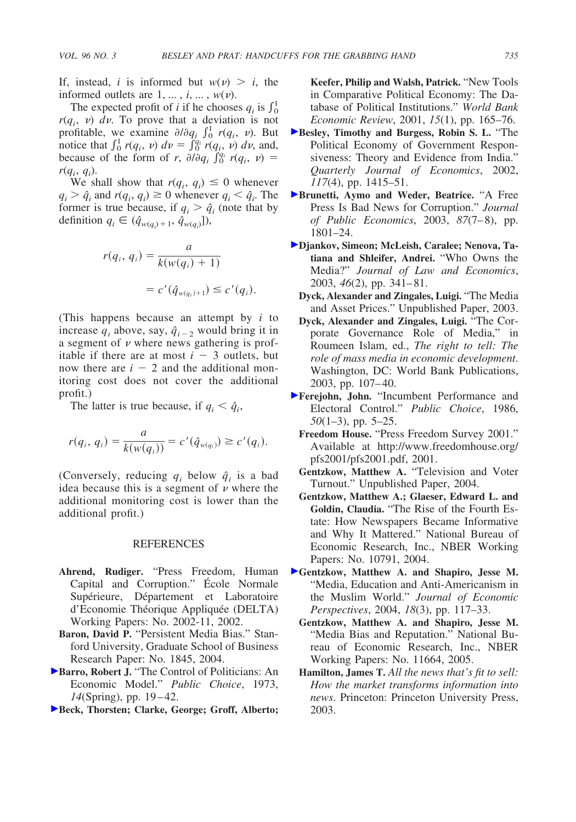If, instead, *i* is informed but  $w(\nu) > i$ , the informed outlets are  $1, \ldots, i, \ldots, w(\nu)$ .

The expected profit of *i* if he chooses  $q_i$  is  $\int_0^1$  $r(q_i, v)$  dv. To prove that a deviation is not profitable, we examine  $\partial/\partial q_i \int_0^1 r(q_i, v)$ . But notice that  $\int_0^1 r(q_i, v) dv = \int_0^{q_i} r(q_i, v) dv$ , and, because of the form of *r*,  $\partial/\partial q_i \int_0^{q_i} r(q_i, \nu)$  = *r*(*qi*, *qi* ).

We shall show that  $r(q_i, q_i) \leq 0$  whenever  $q_i > \hat{q}_i$  and  $r(q_i, q_i) \ge 0$  whenever  $q_i < \hat{q}_i$ . The former is true because, if  $q_i > \hat{q}_i$  (note that by definition  $q_i \in (\hat{q}_{w(q_i)+1}, \hat{q}_{w(q_i)}])$ ,

$$
r(q_i, q_i) = \frac{a}{k(w(q_i) + 1)}
$$
  
=  $c'(\hat{q}_{w(q_i)+1}) \le c'(q_i)$ .

(This happens because an attempt by *i* to increase  $q_i$  above, say,  $\hat{q}_{i-2}$  would bring it in a segment of  $\nu$  where news gathering is profitable if there are at most  $i - 3$  outlets, but now there are  $i - 2$  and the additional monitoring cost does not cover the additional profit.)

The latter is true because, if  $q_i < \hat{q}_i$ ,

$$
r(q_i, q_i) = \frac{a}{k(w(q_i))} = c'(\hat{q}_{w(q_i)}) \ge c'(q_i).
$$

(Conversely, reducing  $q_i$  below  $\hat{q}_i$  is a bad idea because this is a segment of  $\nu$  where the additional monitoring cost is lower than the additional profit.)

#### REFERENCES

- **Ahrend, Rudiger.** "Press Freedom, Human Capital and Corruption." École Normale Supérieure, Département et Laboratoire d'Economie Théorique Appliquée (DELTA) Working Papers: No. 2002-11, 2002.
- **Baron, David P.** "Persistent Media Bias." Stanford University, Graduate School of Business Research Paper: No. 1845, 2004.
- **Barro, Robert J.** "The Control of Politicians: An Economic Model." *Public Choice*, 1973, *14*(Spring), pp. 19–42.
- **Beck, Thorsten; Clarke, George; Groff, Alberto;**

**Keefer, Philip and Walsh, Patrick.** "New Tools in Comparative Political Economy: The Database of Political Institutions." *World Bank Economic Review*, 2001, *15*(1), pp. 165–76.

- **Besley, Timothy and Burgess, Robin S. L.** "The Political Economy of Government Responsiveness: Theory and Evidence from India." *Quarterly Journal of Economics*, 2002, *117*(4), pp. 1415–51.
- **Brunetti, Aymo and Weder, Beatrice.** "A Free Press Is Bad News for Corruption." *Journal of Public Economics*, 2003, *87*(7–8), pp. 1801–24.
- **Djankov, Simeon; McLeish, Caralee; Nenova, Tatiana and Shleifer, Andrei.** "Who Owns the Media?" *Journal of Law and Economics*, 2003, *46*(2), pp. 341–81.
	- **Dyck, Alexander and Zingales, Luigi.** "The Media and Asset Prices." Unpublished Paper, 2003.
	- **Dyck, Alexander and Zingales, Luigi.** "The Corporate Governance Role of Media," in Roumeen Islam, ed., *The right to tell: The role of mass media in economic development*. Washington, DC: World Bank Publications, 2003, pp. 107–40.
- **Ferejohn, John.** "Incumbent Performance and Electoral Control." *Public Choice*, 1986, *50*(1–3), pp. 5–25.
	- **Freedom House.** "Press Freedom Survey 2001." Available at http://www.freedomhouse.org/ pfs2001/pfs2001.pdf, 2001.
	- **Gentzkow, Matthew A.** "Television and Voter Turnout." Unpublished Paper, 2004.
	- **Gentzkow, Matthew A.; Glaeser, Edward L. and Goldin, Claudia.** "The Rise of the Fourth Estate: How Newspapers Became Informative and Why It Mattered." National Bureau of Economic Research, Inc., NBER Working Papers: No. 10791, 2004.
- **Gentzkow, Matthew A. and Shapiro, Jesse M.** "Media, Education and Anti-Americanism in the Muslim World." *Journal of Economic Perspectives*, 2004, *18*(3), pp. 117–33.
	- **Gentzkow, Matthew A. and Shapiro, Jesse M.** "Media Bias and Reputation." National Bureau of Economic Research, Inc., NBER Working Papers: No. 11664, 2005.
	- **Hamilton, James T.** *All the news that's fit to sell: How the market transforms information into news*. Princeton: Princeton University Press, 2003.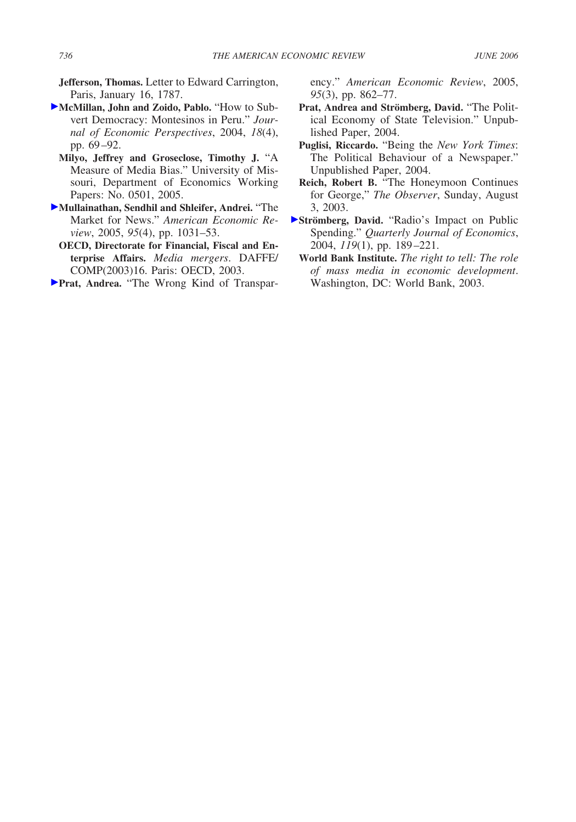- **Jefferson, Thomas.** Letter to Edward Carrington, Paris, January 16, 1787.
- **McMillan, John and Zoido, Pablo.** "How to Subvert Democracy: Montesinos in Peru." *Journal of Economic Perspectives*, 2004, *18*(4), pp. 69–92.
	- **Milyo, Jeffrey and Groseclose, Timothy J.** "A Measure of Media Bias." University of Missouri, Department of Economics Working Papers: No. 0501, 2005.
- **Mullainathan, Sendhil and Shleifer, Andrei.** "The Market for News." *American Economic Review*, 2005, *95*(4), pp. 1031–53.
	- **OECD, Directorate for Financial, Fiscal and Enterprise Affairs.** *Media mergers*. DAFFE/ COMP(2003)16. Paris: OECD, 2003.
- **Prat, Andrea.** "The Wrong Kind of Transpar-

ency." *American Economic Review*, 2005, *95*(3), pp. 862–77.

- Prat, Andrea and Strömberg, David. "The Political Economy of State Television." Unpublished Paper, 2004.
- **Puglisi, Riccardo.** "Being the *New York Times*: The Political Behaviour of a Newspaper." Unpublished Paper, 2004.
- **Reich, Robert B.** "The Honeymoon Continues for George," *The Observer*, Sunday, August 3, 2003.
- **Strömberg, David.** "Radio's Impact on Public Spending." *Quarterly Journal of Economics*, 2004, *119*(1), pp. 189–221.
	- **World Bank Institute.** *The right to tell: The role of mass media in economic development*. Washington, DC: World Bank, 2003.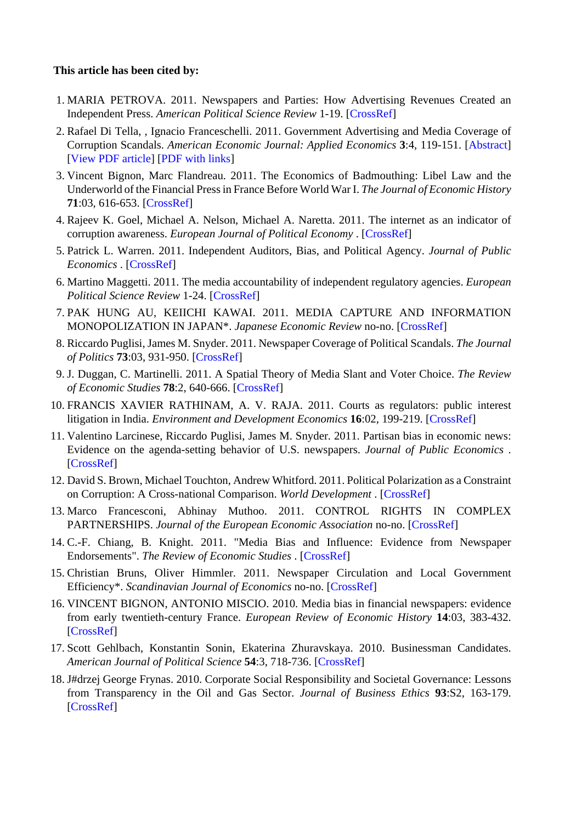#### **This article has been cited by:**

- 1. MARIA PETROVA. 2011. Newspapers and Parties: How Advertising Revenues Created an Independent Press. *American Political Science Review* 1-19. [\[CrossRef](http://dx.doi.org/10.1017/S0003055411000360)]
- 2. Rafael Di Tella, , Ignacio Franceschelli. 2011. Government Advertising and Media Coverage of Corruption Scandals. *American Economic Journal: Applied Economics* **3**:4, 119-151. [\[Abstract\]](http://dx.doi.org/10.1257/app.3.4.119) [\[View PDF article](http://pubs.aeaweb.org/doi/pdf/10.1257/app.3.4.119)] [\[PDF with links\]](http://pubs.aeaweb.org/doi/pdfplus/10.1257/app.3.4.119)
- 3. Vincent Bignon, Marc Flandreau. 2011. The Economics of Badmouthing: Libel Law and the Underworld of the Financial Press in France Before World War I. *The Journal of Economic History* **71**:03, 616-653. [\[CrossRef](http://dx.doi.org/10.1017/S0022050711001860)]
- 4. Rajeev K. Goel, Michael A. Nelson, Michael A. Naretta. 2011. The internet as an indicator of corruption awareness. *European Journal of Political Economy* . [[CrossRef\]](http://dx.doi.org/10.1016/j.ejpoleco.2011.08.003)
- 5.Patrick L. Warren. 2011. Independent Auditors, Bias, and Political Agency. *Journal of Public Economics* . [\[CrossRef\]](http://dx.doi.org/10.1016/j.jpubeco.2011.08.008)
- 6. Martino Maggetti. 2011. The media accountability of independent regulatory agencies. *European Political Science Review* 1-24. [[CrossRef\]](http://dx.doi.org/10.1017/S1755773911000208)
- 7.PAK HUNG AU, KEIICHI KAWAI. 2011. MEDIA CAPTURE AND INFORMATION MONOPOLIZATION IN JAPAN\*. *Japanese Economic Review* no-no. [[CrossRef\]](http://dx.doi.org/10.1111/j.1468-5876.2011.00538.x)
- 8. Riccardo Puglisi, James M. Snyder. 2011. Newspaper Coverage of Political Scandals. *The Journal of Politics* **73**:03, 931-950. [\[CrossRef\]](http://dx.doi.org/10.1017/S0022381611000569)
- 9. J. Duggan, C. Martinelli. 2011. A Spatial Theory of Media Slant and Voter Choice. *The Review of Economic Studies* **78**:2, 640-666. [\[CrossRef\]](http://dx.doi.org/10.1093/restud/rdq009)
- 10.FRANCIS XAVIER RATHINAM, A. V. RAJA. 2011. Courts as regulators: public interest litigation in India. *Environment and Development Economics* **16**:02, 199-219. [[CrossRef](http://dx.doi.org/10.1017/S1355770X11000015)]
- 11. Valentino Larcinese, Riccardo Puglisi, James M. Snyder. 2011. Partisan bias in economic news: Evidence on the agenda-setting behavior of U.S. newspapers. *Journal of Public Economics* . [\[CrossRef](http://dx.doi.org/10.1016/j.jpubeco.2011.04.006)]
- 12. David S. Brown, Michael Touchton, Andrew Whitford. 2011. Political Polarization as a Constraint on Corruption: A Cross-national Comparison. *World Development* . [[CrossRef](http://dx.doi.org/10.1016/j.worlddev.2011.02.006)]
- 13. Marco Francesconi, Abhinay Muthoo. 2011. CONTROL RIGHTS IN COMPLEX PARTNERSHIPS. *Journal of the European Economic Association* no-no. [\[CrossRef\]](http://dx.doi.org/10.1111/j.1542-4774.2011.01017.x)
- 14. C.-F. Chiang, B. Knight. 2011. "Media Bias and Influence: Evidence from Newspaper Endorsements". *The Review of Economic Studies* . [[CrossRef](http://dx.doi.org/10.1093/restud/rdq037)]
- 15. Christian Bruns, Oliver Himmler. 2011. Newspaper Circulation and Local Government Efficiency\*. *Scandinavian Journal of Economics* no-no. [\[CrossRef](http://dx.doi.org/10.1111/j.1467-9442.2010.01633.x)]
- 16. VINCENT BIGNON, ANTONIO MISCIO. 2010. Media bias in financial newspapers: evidence from early twentieth-century France. *European Review of Economic History* **14**:03, 383-432. [\[CrossRef](http://dx.doi.org/10.1017/S1361491610000110)]
- 17.Scott Gehlbach, Konstantin Sonin, Ekaterina Zhuravskaya. 2010. Businessman Candidates. *American Journal of Political Science* **54**:3, 718-736. [\[CrossRef\]](http://dx.doi.org/10.1111/j.1540-5907.2010.00456.x)
- 18. J#drzej George Frynas. 2010. Corporate Social Responsibility and Societal Governance: Lessons from Transparency in the Oil and Gas Sector. *Journal of Business Ethics* **93**:S2, 163-179. [\[CrossRef](http://dx.doi.org/10.1007/s10551-010-0559-1)]